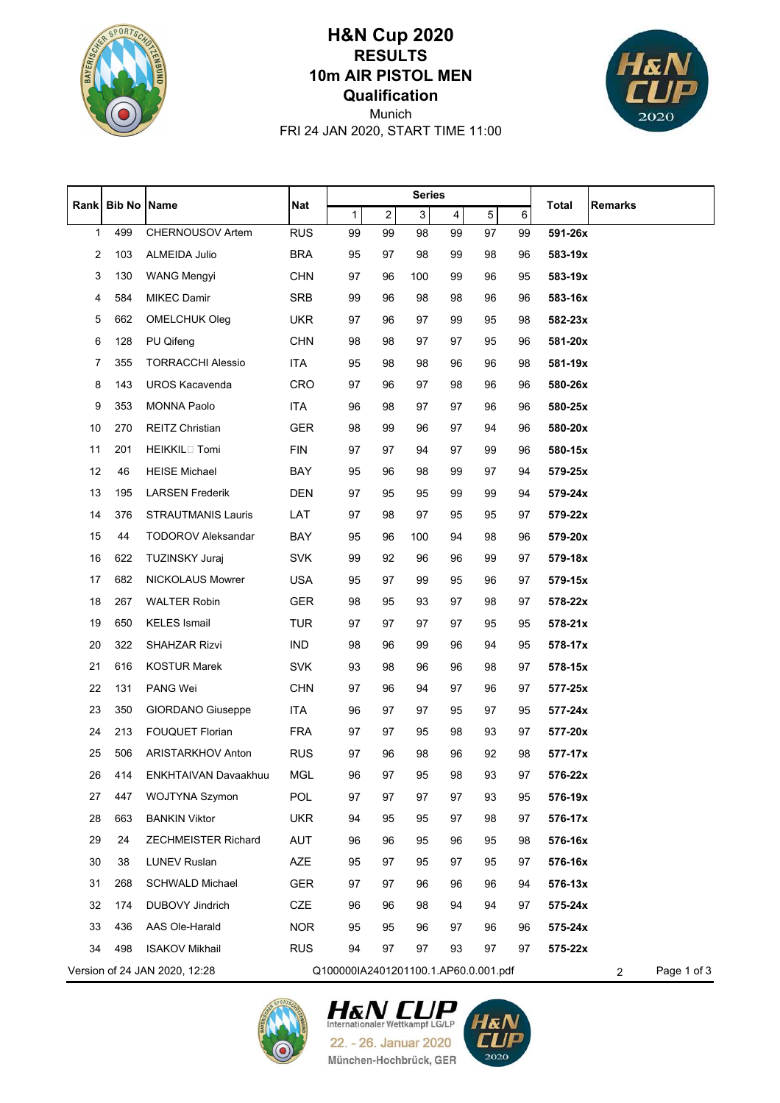

## **Qualification 10m AIR PISTOL MEN RESULTS H&N Cup 2020**



FRI 24 JAN 2020, START TIME 11:00 Munich

|      |               | <b>Name</b>                   | <b>Nat</b> | <b>Series</b>                        |                |     |                         |    |    |              |                               |
|------|---------------|-------------------------------|------------|--------------------------------------|----------------|-----|-------------------------|----|----|--------------|-------------------------------|
| Rank | <b>Bib No</b> |                               |            | 1                                    | $\overline{2}$ | 3   | $\overline{\mathbf{4}}$ | 5  | 6  | <b>Total</b> | Remarks                       |
| 1    | 499           | CHERNOUSOV Artem              | <b>RUS</b> | 99                                   | 99             | 98  | 99                      | 97 | 99 | 591-26x      |                               |
| 2    | 103           | ALMEIDA Julio                 | <b>BRA</b> | 95                                   | 97             | 98  | 99                      | 98 | 96 | 583-19x      |                               |
| 3    | 130           | <b>WANG Mengyi</b>            | <b>CHN</b> | 97                                   | 96             | 100 | 99                      | 96 | 95 | 583-19x      |                               |
| 4    | 584           | <b>MIKEC Damir</b>            | <b>SRB</b> | 99                                   | 96             | 98  | 98                      | 96 | 96 | 583-16x      |                               |
| 5    | 662           | <b>OMELCHUK Oleg</b>          | <b>UKR</b> | 97                                   | 96             | 97  | 99                      | 95 | 98 | 582-23x      |                               |
| 6    | 128           | PU Qifeng                     | <b>CHN</b> | 98                                   | 98             | 97  | 97                      | 95 | 96 | 581-20x      |                               |
| 7    | 355           | <b>TORRACCHI Alessio</b>      | <b>ITA</b> | 95                                   | 98             | 98  | 96                      | 96 | 98 | 581-19x      |                               |
| 8    | 143           | <b>UROS Kacavenda</b>         | <b>CRO</b> | 97                                   | 96             | 97  | 98                      | 96 | 96 | 580-26x      |                               |
| 9    | 353           | <b>MONNA Paolo</b>            | <b>ITA</b> | 96                                   | 98             | 97  | 97                      | 96 | 96 | 580-25x      |                               |
| 10   | 270           | <b>REITZ Christian</b>        | <b>GER</b> | 98                                   | 99             | 96  | 97                      | 94 | 96 | 580-20x      |                               |
| 11   | 201           | HEIKKIL <sup>[17]</sup> Tomi  | <b>FIN</b> | 97                                   | 97             | 94  | 97                      | 99 | 96 | 580-15x      |                               |
| 12   | 46            | <b>HEISE Michael</b>          | BAY        | 95                                   | 96             | 98  | 99                      | 97 | 94 | 579-25x      |                               |
| 13   | 195           | <b>LARSEN Frederik</b>        | <b>DEN</b> | 97                                   | 95             | 95  | 99                      | 99 | 94 | 579-24x      |                               |
| 14   | 376           | STRAUTMANIS Lauris            | LAT        | 97                                   | 98             | 97  | 95                      | 95 | 97 | 579-22x      |                               |
| 15   | 44            | <b>TODOROV Aleksandar</b>     | BAY        | 95                                   | 96             | 100 | 94                      | 98 | 96 | 579-20x      |                               |
| 16   | 622           | <b>TUZINSKY Juraj</b>         | <b>SVK</b> | 99                                   | 92             | 96  | 96                      | 99 | 97 | 579-18x      |                               |
| 17   | 682           | <b>NICKOLAUS Mowrer</b>       | <b>USA</b> | 95                                   | 97             | 99  | 95                      | 96 | 97 | 579-15x      |                               |
| 18   | 267           | <b>WALTER Robin</b>           | <b>GER</b> | 98                                   | 95             | 93  | 97                      | 98 | 97 | 578-22x      |                               |
| 19   | 650           | <b>KELES Ismail</b>           | <b>TUR</b> | 97                                   | 97             | 97  | 97                      | 95 | 95 | 578-21x      |                               |
| 20   | 322           | SHAHZAR Rizvi                 | <b>IND</b> | 98                                   | 96             | 99  | 96                      | 94 | 95 | 578-17x      |                               |
| 21   | 616           | <b>KOSTUR Marek</b>           | <b>SVK</b> | 93                                   | 98             | 96  | 96                      | 98 | 97 | 578-15x      |                               |
| 22   | 131           | PANG Wei                      | <b>CHN</b> | 97                                   | 96             | 94  | 97                      | 96 | 97 | 577-25x      |                               |
| 23   | 350           | GIORDANO Giuseppe             | ITA        | 96                                   | 97             | 97  | 95                      | 97 | 95 | 577-24x      |                               |
| 24   | 213           | <b>FOUQUET Florian</b>        | <b>FRA</b> | 97                                   | 97             | 95  | 98                      | 93 | 97 | 577-20x      |                               |
| 25   | 506           | <b>ARISTARKHOV Anton</b>      | <b>RUS</b> | 97                                   | 96             | 98  | 96                      | 92 | 98 | 577-17x      |                               |
| 26   | 414           | ENKHTAIVAN Davaakhuu          | <b>MGL</b> | 96                                   | 97             | 95  | 98                      | 93 | 97 | 576-22x      |                               |
| 27   | 447           | WOJTYNA Szymon                | <b>POL</b> | 97                                   | 97             | 97  | 97                      | 93 | 95 | 576-19x      |                               |
| 28   | 663           | <b>BANKIN Viktor</b>          | <b>UKR</b> | 94                                   | 95             | 95  | 97                      | 98 | 97 | 576-17x      |                               |
| 29   | 24            | <b>ZECHMEISTER Richard</b>    | AUT        | 96                                   | 96             | 95  | 96                      | 95 | 98 | 576-16x      |                               |
| 30   | 38            | <b>LUNEV Ruslan</b>           | AZE        | 95                                   | 97             | 95  | 97                      | 95 | 97 | 576-16x      |                               |
| 31   | 268           | <b>SCHWALD Michael</b>        | <b>GER</b> | 97                                   | 97             | 96  | 96                      | 96 | 94 | 576-13x      |                               |
| 32   | 174           | DUBOVY Jindrich               | CZE        | 96                                   | 96             | 98  | 94                      | 94 | 97 | 575-24x      |                               |
| 33   | 436           | AAS Ole-Harald                | <b>NOR</b> | 95                                   | 95             | 96  | 97                      | 96 | 96 | 575-24x      |                               |
| 34   | 498           | <b>ISAKOV Mikhail</b>         | <b>RUS</b> | 94                                   | 97             | 97  | 93                      | 97 | 97 | 575-22x      |                               |
|      |               | Version of 24 JAN 2020, 12:28 |            | Q100000IA2401201100.1.AP60.0.001.pdf |                |     |                         |    |    |              | Page 1 of 3<br>$\overline{2}$ |



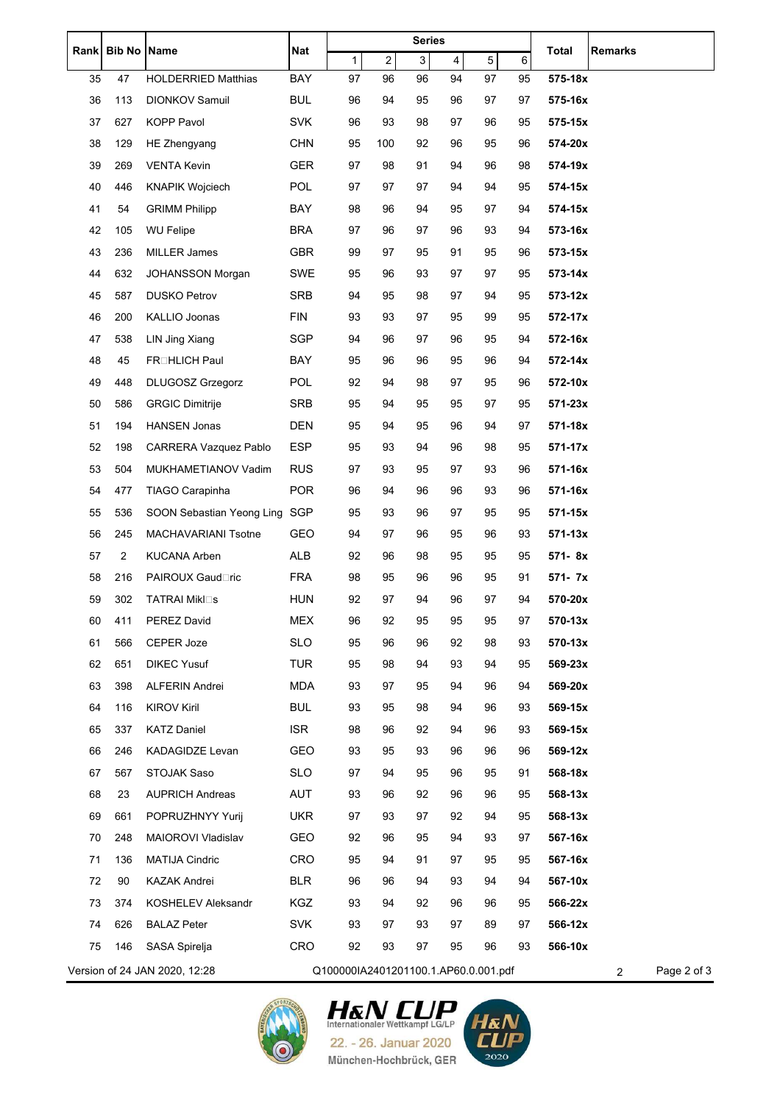| <b>Rank</b> | <b>Bib No</b>  | <b>Name</b>                   | Nat        | <b>Series</b>                        |                         |                |                         |    |    | <b>Total</b><br><b>Remarks</b> |  |
|-------------|----------------|-------------------------------|------------|--------------------------------------|-------------------------|----------------|-------------------------|----|----|--------------------------------|--|
|             |                |                               |            | 1                                    | $\overline{\mathbf{c}}$ | $\overline{3}$ | $\overline{\mathbf{4}}$ | 5  | 6  |                                |  |
| 35          | 47             | <b>HOLDERRIED Matthias</b>    | BAY        | 97                                   | 96                      | 96             | 94                      | 97 | 95 | 575-18x                        |  |
| 36          | 113            | <b>DIONKOV Samuil</b>         | <b>BUL</b> | 96                                   | 94                      | 95             | 96                      | 97 | 97 | 575-16x                        |  |
| 37          | 627            | <b>KOPP Pavol</b>             | <b>SVK</b> | 96                                   | 93                      | 98             | 97                      | 96 | 95 | 575-15x                        |  |
| 38          | 129            | HE Zhengyang                  | <b>CHN</b> | 95                                   | 100                     | 92             | 96                      | 95 | 96 | 574-20x                        |  |
| 39          | 269            | <b>VENTA Kevin</b>            | <b>GER</b> | 97                                   | 98                      | 91             | 94                      | 96 | 98 | 574-19x                        |  |
| 40          | 446            | <b>KNAPIK Wojciech</b>        | <b>POL</b> | 97                                   | 97                      | 97             | 94                      | 94 | 95 | 574-15x                        |  |
| 41          | 54             | <b>GRIMM Philipp</b>          | BAY        | 98                                   | 96                      | 94             | 95                      | 97 | 94 | 574-15x                        |  |
| 42          | 105            | <b>WU Felipe</b>              | <b>BRA</b> | 97                                   | 96                      | 97             | 96                      | 93 | 94 | 573-16x                        |  |
| 43          | 236            | <b>MILLER James</b>           | <b>GBR</b> | 99                                   | 97                      | 95             | 91                      | 95 | 96 | 573-15x                        |  |
| 44          | 632            | <b>JOHANSSON Morgan</b>       | SWE        | 95                                   | 96                      | 93             | 97                      | 97 | 95 | 573-14x                        |  |
| 45          | 587            | <b>DUSKO Petrov</b>           | <b>SRB</b> | 94                                   | 95                      | 98             | 97                      | 94 | 95 | 573-12x                        |  |
| 46          | 200            | KALLIO Joonas                 | <b>FIN</b> | 93                                   | 93                      | 97             | 95                      | 99 | 95 | 572-17x                        |  |
| 47          | 538            | LIN Jing Xiang                | SGP        | 94                                   | 96                      | 97             | 96                      | 95 | 94 | 572-16x                        |  |
| 48          | 45             | FROHLICH Paul                 | BAY        | 95                                   | 96                      | 96             | 95                      | 96 | 94 | 572-14x                        |  |
| 49          | 448            | DLUGOSZ Grzegorz              | POL        | 92                                   | 94                      | 98             | 97                      | 95 | 96 | 572-10x                        |  |
| 50          | 586            | <b>GRGIC Dimitrije</b>        | <b>SRB</b> | 95                                   | 94                      | 95             | 95                      | 97 | 95 | 571-23x                        |  |
| 51          | 194            | <b>HANSEN Jonas</b>           | <b>DEN</b> | 95                                   | 94                      | 95             | 96                      | 94 | 97 | 571-18x                        |  |
| 52          | 198            | <b>CARRERA Vazquez Pablo</b>  | <b>ESP</b> | 95                                   | 93                      | 94             | 96                      | 98 | 95 | 571-17x                        |  |
| 53          | 504            | MUKHAMETIANOV Vadim           | <b>RUS</b> | 97                                   | 93                      | 95             | 97                      | 93 | 96 | 571-16x                        |  |
| 54          | 477            | TIAGO Carapinha               | <b>POR</b> | 96                                   | 94                      | 96             | 96                      | 93 | 96 | 571-16x                        |  |
| 55          | 536            | SOON Sebastian Yeong Ling SGP |            | 95                                   | 93                      | 96             | 97                      | 95 | 95 | 571-15x                        |  |
| 56          | 245            | MACHAVARIANI Tsotne           | GEO        | 94                                   | 97                      | 96             | 95                      | 96 | 93 | $571 - 13x$                    |  |
| 57          | $\overline{c}$ | <b>KUCANA Arben</b>           | ALB        | 92                                   | 96                      | 98             | 95                      | 95 | 95 | 571-8x                         |  |
| 58          | 216            | <b>PAIROUX Gaud</b> □ric      | <b>FRA</b> | 98                                   | 95                      | 96             | 96                      | 95 | 91 | 571-7x                         |  |
| 59          | 302            | <b>TATRAI Mikl</b> □s         | <b>HUN</b> | 92                                   | 97                      | 94             | 96                      | 97 | 94 | 570-20x                        |  |
| 60          | 411            | PEREZ David                   | <b>MEX</b> | 96                                   | 92                      | 95             | 95                      | 95 | 97 | 570-13x                        |  |
| 61          | 566            | CEPER Joze                    | <b>SLO</b> | 95                                   | 96                      | 96             | 92                      | 98 | 93 | 570-13x                        |  |
| 62          | 651            | <b>DIKEC Yusuf</b>            | <b>TUR</b> | 95                                   | 98                      | 94             | 93                      | 94 | 95 | 569-23x                        |  |
| 63          | 398            | ALFERIN Andrei                | <b>MDA</b> | 93                                   | 97                      | 95             | 94                      | 96 | 94 | 569-20x                        |  |
| 64          | 116            | <b>KIROV Kiril</b>            | <b>BUL</b> | 93                                   | 95                      | 98             | 94                      | 96 | 93 | 569-15x                        |  |
| 65          | 337            | <b>KATZ Daniel</b>            | <b>ISR</b> | 98                                   | 96                      | 92             | 94                      | 96 | 93 | 569-15x                        |  |
| 66          | 246            | KADAGIDZE Levan               | <b>GEO</b> | 93                                   | 95                      | 93             | 96                      | 96 | 96 | 569-12x                        |  |
| 67          | 567            | STOJAK Saso                   | <b>SLO</b> | 97                                   | 94                      | 95             | 96                      | 95 | 91 | 568-18x                        |  |
| 68          | 23             | <b>AUPRICH Andreas</b>        | AUT        | 93                                   | 96                      | 92             | 96                      | 96 | 95 | 568-13x                        |  |
| 69          | 661            | POPRUZHNYY Yurij              | <b>UKR</b> | 97                                   | 93                      | 97             | 92                      | 94 | 95 | 568-13x                        |  |
| 70          | 248            | MAIOROVI Vladislav            | GEO        | 92                                   | 96                      | 95             | 94                      | 93 | 97 | 567-16x                        |  |
| 71          | 136            | <b>MATIJA Cindric</b>         | <b>CRO</b> | 95                                   | 94                      | 91             | 97                      | 95 | 95 | 567-16x                        |  |
| 72          | 90             | <b>KAZAK Andrei</b>           | <b>BLR</b> | 96                                   | 96                      | 94             | 93                      | 94 | 94 | 567-10x                        |  |
| 73          | 374            | KOSHELEV Aleksandr            | KGZ        | 93                                   | 94                      | 92             | 96                      | 96 | 95 | 566-22x                        |  |
| 74          | 626            | <b>BALAZ Peter</b>            | <b>SVK</b> | 93                                   | 97                      | 93             | 97                      | 89 | 97 | 566-12x                        |  |
| 75          | 146            | SASA Spirelja                 | CRO        | 92                                   | 93                      | 97             | 95                      | 96 | 93 | 566-10x                        |  |
|             |                | Version of 24 JAN 2020, 12:28 |            | Q100000IA2401201100.1.AP60.0.001.pdf |                         |                |                         |    |    | Page 2 of 3                    |  |
|             |                |                               |            |                                      |                         |                |                         |    |    | $\overline{c}$                 |  |